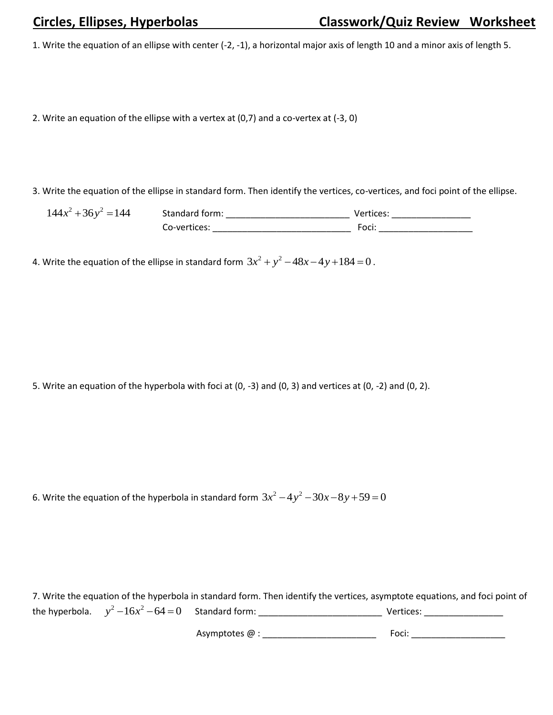1. Write the equation of an ellipse with center (-2, -1), a horizontal major axis of length 10 and a minor axis of length 5.

2. Write an equation of the ellipse with a vertex at (0,7) and a co-vertex at (-3, 0)

3. Write the equation of the ellipse in standard form. Then identify the vertices, co-vertices, and foci point of the ellipse.

2 2 144 36 144 *x y* Standard form: \_\_\_\_\_\_\_\_\_\_\_\_\_\_\_\_\_\_\_\_\_\_\_\_\_ Vertices: \_\_\_\_\_\_\_\_\_\_\_\_\_\_\_\_ Co-vertices: \_\_\_\_\_\_\_\_\_\_\_\_\_\_\_\_\_\_\_\_\_\_\_\_\_\_\_\_ Foci: \_\_\_\_\_\_\_\_\_\_\_\_\_\_\_\_\_\_\_

4. Write the equation of the ellipse in standard form  $3x^2 + y^2 - 48x - 4y + 184 = 0$  .

5. Write an equation of the hyperbola with foci at (0, -3) and (0, 3) and vertices at (0, -2) and (0, 2).

6. Write the equation of the hyperbola in standard form  $3x^2 - 4y^2 - 30x - 8y + 59 = 0$ 

7. Write the equation of the hyperbola in standard form. Then identify the vertices, asymptote equations, and foci point of the hyperbola. 2 2 *y x* 16 64 0 Standard form: \_\_\_\_\_\_\_\_\_\_\_\_\_\_\_\_\_\_\_\_\_\_\_\_\_ Vertices: \_\_\_\_\_\_\_\_\_\_\_\_\_\_\_\_

Asymptotes @ : \_\_\_\_\_\_\_\_\_\_\_\_\_\_\_\_\_\_\_\_\_\_\_ Foci: \_\_\_\_\_\_\_\_\_\_\_\_\_\_\_\_\_\_\_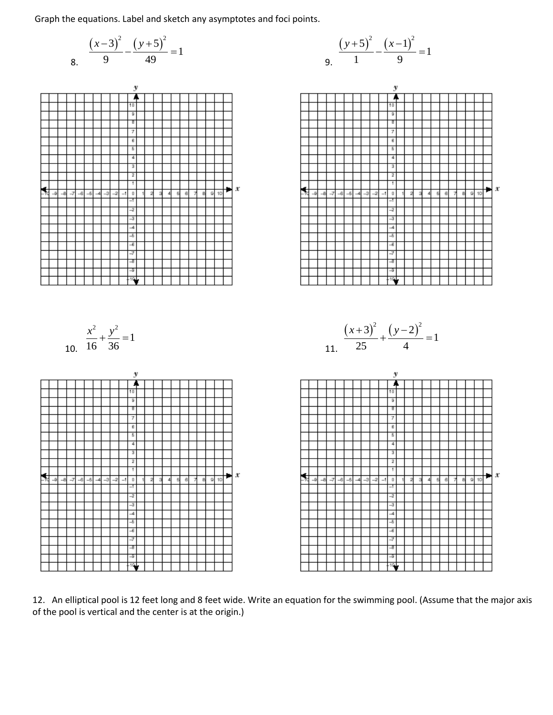Graph the equations. Label and sketch any asymptotes and foci points.

8. 
$$
\frac{(x-3)^2}{9} - \frac{(y+5)^2}{49} = 1
$$



10.

2 2

16 36  $\frac{x^2}{(x+1)^2} + \frac{y^2}{(x+1)^2} =$ 

1

 $\mathbf{y}$ 7





12. An elliptical pool is 12 feet long and 8 feet wide. Write an equation for the swimming pool. (Assume that the major axis of the pool is vertical and the center is at the origin.)

 $\mathbf{r}$ 

 $10$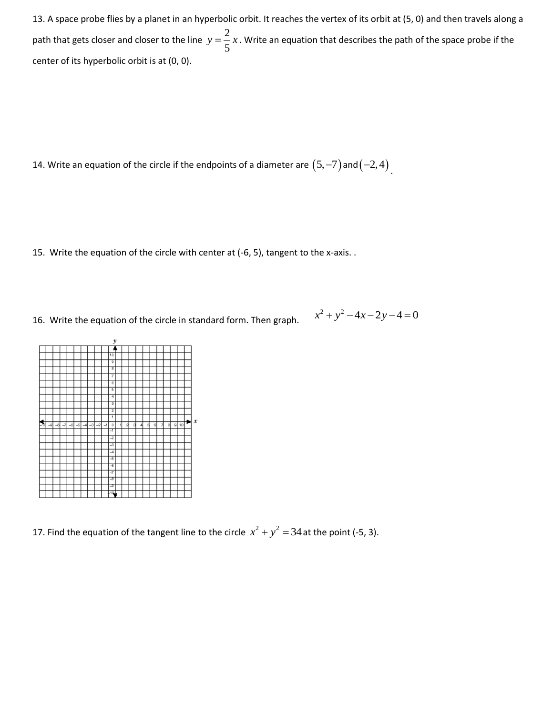13. A space probe flies by a planet in an hyperbolic orbit. It reaches the vertex of its orbit at (5, 0) and then travels along a path that gets closer and closer to the line  $y = \frac{2}{5}$ 5  $y = \frac{2}{x}x$ . Write an equation that describes the path of the space probe if the center of its hyperbolic orbit is at (0, 0).

14. Write an equation of the circle if the endpoints of a diameter are  $(5, -7)$  and  $(-2, 4)$  .

- 15. Write the equation of the circle with center at (-6, 5), tangent to the x-axis. .
- 16. Write the equation of the circle in standard form. Then graph.

$$
x^2 + y^2 - 4x - 2y - 4 = 0
$$



17. Find the equation of the tangent line to the circle  $x^2 + y^2 = 34$  at the point (-5, 3).